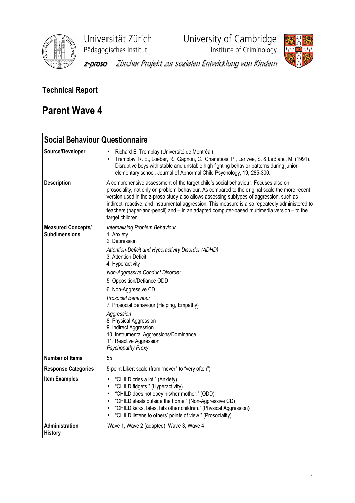

Universität Zürich<br>
Pädagogisches Institut<br>
Institute of Criminology

**Phagagogisches**<br>Institute of Criminology



z-proso Zürcher Projekt zur sozialen Entwicklung von Kindern

## Technical Report

# Parent Wave 4

| <b>Social Behaviour Questionnaire</b>             |                                                                                                                                                                                                                                                                                                                                                                                                                                                                                                       |
|---------------------------------------------------|-------------------------------------------------------------------------------------------------------------------------------------------------------------------------------------------------------------------------------------------------------------------------------------------------------------------------------------------------------------------------------------------------------------------------------------------------------------------------------------------------------|
| Source/Developer                                  | Richard E. Tremblay (Université de Montréal)<br>Tremblay, R. E., Loeber, R., Gagnon, C., Charlebois, P., Larivee, S. & LeBlanc, M. (1991).<br>Disruptive boys with stable and unstable high fighting behavior patterns during junior<br>elementary school. Journal of Abnormal Child Psychology, 19, 285-300.                                                                                                                                                                                         |
| <b>Description</b>                                | A comprehensive assessment of the target child's social behaviour. Focuses also on<br>prosociality, not only on problem behaviour. As compared to the original scale the more recent<br>version used in the z-proso study also allows assessing subtypes of aggression, such as<br>indirect, reactive, and instrumental aggression. This measure is also repeatedly administered to<br>teachers (paper-and-pencil) and - in an adapted computer-based multimedia version - to the<br>target children. |
| <b>Measured Concepts/</b><br><b>Subdimensions</b> | Internalising Problem Behaviour<br>1. Anxiety<br>2. Depression<br>Attention-Deficit and Hyperactivity Disorder (ADHD)<br>3. Attention Deficit<br>4. Hyperactivity<br>Non-Aggressive Conduct Disorder<br>5. Opposition/Defiance ODD<br>6. Non-Aggressive CD<br>Prosocial Behaviour<br>7. Prosocial Behaviour (Helping, Empathy)<br>Aggression<br>8. Physical Aggression<br>9. Indirect Aggression<br>10. Instrumental Aggressions/Dominance<br>11. Reactive Aggression<br>Psychopathy Proxy            |
| <b>Number of Items</b>                            | 55                                                                                                                                                                                                                                                                                                                                                                                                                                                                                                    |
| <b>Response Categories</b>                        | 5-point Likert scale (from "never" to "very often")                                                                                                                                                                                                                                                                                                                                                                                                                                                   |
| <b>Item Examples</b>                              | "CHILD cries a lot." (Anxiety)<br>$\bullet$<br>"CHILD fidgets." (Hyperactivity)<br>$\bullet$<br>"CHILD does not obey his/her mother." (ODD)<br>$\bullet$<br>"CHILD steals outside the home." (Non-Aggressive CD)<br>$\bullet$<br>"CHILD kicks, bites, hits other children." (Physical Aggression)<br>"CHILD listens to others' points of view." (Prosociality)                                                                                                                                        |
| Administration<br><b>History</b>                  | Wave 1, Wave 2 (adapted), Wave 3, Wave 4                                                                                                                                                                                                                                                                                                                                                                                                                                                              |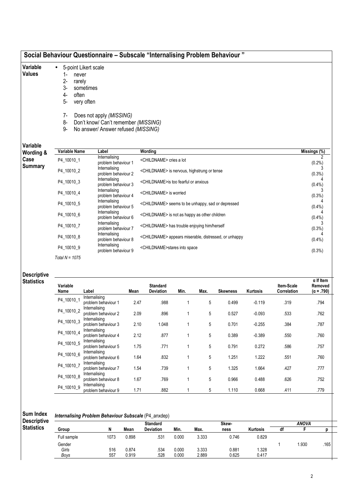### Social Behaviour Questionnaire – Subscale "Internalising Problem Behaviour "

- 5-point Likert scale
- Variable Values
- 1- never 2- rarely
- 3- sometimes
- 4- often
- 5- very often
- 
- 7- Does not apply (MISSING)
- 8- Don't know/ Can't remember (MISSING)
- 9- No answer/ Answer refused (MISSING)

### Variable

| Variable       | Variable Name    | Label                                | Wording                                                           | Missings (%) |
|----------------|------------------|--------------------------------------|-------------------------------------------------------------------|--------------|
| Wording &      |                  | Internalising                        |                                                                   |              |
| Case           | P4 10010 1       | problem behaviour 1                  | <childname> cries a lot</childname>                               | $(0.2\%)$    |
| <b>Summary</b> | P4 10010 2       | Internalising<br>problem behaviour 2 | <childname> is nervous, highstrung or tense</childname>           | $(0.3\%)$    |
|                | P4_10010_3       | Internalising<br>problem behaviour 3 | <childname>is too fearful or anxious</childname>                  | $(0.4\%)$    |
|                | P4_10010_4       | Internalising<br>problem behaviour 4 | <childname> is worried</childname>                                | (0.3%)       |
|                | P4 10010 5       | Internalising<br>problem behaviour 5 | <childname> seems to be unhappy, sad or depressed</childname>     | $(0.4\%)$    |
|                | P4_10010_6       | Internalising<br>problem behaviour 6 | <childname> is not as happy as other children</childname>         | (0.4% )      |
|                | P4 10010 7       | Internalising<br>problem behaviour 7 | <childname> has trouble enjoying him/herself</childname>          | $(0.3\%)$    |
|                | P4 10010 8       | Internalising<br>problem behaviour 8 | <childname> appears miserable, distressed, or unhappy</childname> | $(0.4\%)$    |
|                | P4 10010 9       | Internalising<br>problem behaviour 9 | <childname>stares into space</childname>                          | $(0.3\%)$    |
|                | Total $N = 1075$ |                                      |                                                                   |              |

#### Descriptive **Statistics**

| Variable<br>Name | Label                                | Mean | <b>Standard</b><br><b>Deviation</b> | Min. | Max. | <b>Skewness</b> | <b>Kurtosis</b> | Item-Scale<br>Correlation | $\alpha$ If Item<br>Removed<br>$(\alpha = .790)$ |
|------------------|--------------------------------------|------|-------------------------------------|------|------|-----------------|-----------------|---------------------------|--------------------------------------------------|
| P4 10010 1       | Internalising                        |      |                                     |      |      |                 |                 |                           |                                                  |
|                  | problem behaviour 1                  | 2.47 | .988                                |      | 5    | 0.499           | $-0.119$        | .319                      | .794                                             |
| P4_10010_2       | Internalising                        |      |                                     |      |      |                 |                 |                           |                                                  |
|                  | problem behaviour 2                  | 2.09 | .896                                |      | 5    | 0.527           | $-0.093$        | .533                      | .762                                             |
| P4_10010_3       | Internalising                        |      |                                     |      |      |                 |                 |                           |                                                  |
|                  | problem behaviour 3                  | 2.10 | 1.048                               |      | 5    | 0.701           | $-0.255$        | .384                      | .787                                             |
| P4_10010_4       | Internalising                        |      |                                     |      |      |                 |                 |                           |                                                  |
|                  | problem behaviour 4                  | 2.12 | .877                                |      | 5    | 0.389           | $-0.389$        | .550                      | .760                                             |
| P4_10010_5       | Internalising                        |      |                                     |      |      |                 |                 |                           |                                                  |
|                  | problem behaviour 5                  | 1.75 | .771                                |      | 5    | 0.791           | 0.272           | .586                      | .757                                             |
| P4_10010_6       | Internalising                        | 1.64 | .832                                |      | 5    | 1.251           | 1.222           | .551                      | .760                                             |
|                  | problem behaviour 6                  |      |                                     |      |      |                 |                 |                           |                                                  |
| P4 10010 7       | Internalising<br>problem behaviour 7 | 1.54 | .739                                |      | 5    | 1.325           | 1.664           | .427                      | .777                                             |
|                  | Internalising                        |      |                                     |      |      |                 |                 |                           |                                                  |
| P4_10010_8       | problem behaviour 8                  | 1.67 | .769                                |      | 5    | 0.966           | 0.488           | .626                      | .752                                             |
|                  | Internalising                        |      |                                     |      |      |                 |                 |                           |                                                  |
| P4_10010_9       | problem behaviour 9                  | 1.71 | .882                                |      | 5    | 1.110           | 0.668           | .411                      | .779                                             |

| <b>Sum Index</b> | <b>Internalising Problem Behaviour Subscale (P4_anxdep)</b> |
|------------------|-------------------------------------------------------------|
|                  |                                                             |

|                    | <b>Internalising Froblem Benaviour Subscale</b> (F4 drivide) |      |       |                  |       |       |       |                 |    |       |      |  |
|--------------------|--------------------------------------------------------------|------|-------|------------------|-------|-------|-------|-----------------|----|-------|------|--|
| <b>Descriptive</b> |                                                              |      |       | <b>Standard</b>  |       |       | Skew- |                 |    | ANOVA |      |  |
| <b>Statistics</b>  | Group                                                        |      | Mean  | <b>Deviation</b> | Min.  | Max.  | ness  | <b>Kurtosis</b> | df |       |      |  |
|                    | Full sample                                                  | 1073 | 0.898 | .531             | 0.000 | 3.333 | 0.746 | 0.829           |    |       |      |  |
|                    | Gender                                                       |      |       |                  |       |       |       |                 |    | .930  | .165 |  |
|                    | Girls                                                        | 516  | 0.874 | .534             | 0.000 | 3.333 | 0.881 | .328            |    |       |      |  |
|                    | Boys                                                         | 557  | 0.919 | .528             | 0.000 | 2.889 | 0.625 | 0.417           |    |       |      |  |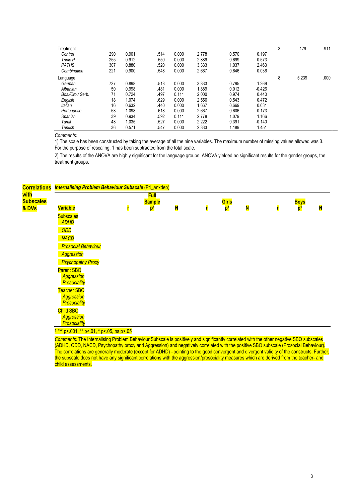| Treatment        |     |       |      |       |       |       |          | 3 | .179  | .911 |
|------------------|-----|-------|------|-------|-------|-------|----------|---|-------|------|
| Control          | 290 | 0.901 | .514 | 0.000 | 2.778 | 0.570 | 0.197    |   |       |      |
| Triple P         | 255 | 0.912 | .550 | 0.000 | 2.889 | 0.699 | 0.573    |   |       |      |
| <b>PATHS</b>     | 307 | 0.880 | .520 | 0.000 | 3.333 | 1.037 | 2.463    |   |       |      |
| Combination      | 221 | 0.900 | .548 | 0.000 | 2.667 | 0.646 | 0.036    |   |       |      |
| Language         |     |       |      |       |       |       |          | 8 | 5.239 | .000 |
| German           | 737 | 0.898 | .513 | 0.000 | 3.333 | 0.795 | 1.269    |   |       |      |
| Albanian         | 50  | 0.998 | .481 | 0.000 | 1.889 | 0.012 | $-0.426$ |   |       |      |
| Bos./Cro./ Serb. | 71  | 0.724 | .497 | 0.111 | 2.000 | 0.974 | 0.440    |   |       |      |
| English          | 18  | 1.074 | .629 | 0.000 | 2.556 | 0.543 | 0.472    |   |       |      |
| Italian          | 16  | 0.632 | .440 | 0.000 | 1.667 | 0.669 | 0.631    |   |       |      |
| Portuguese       | 58  | 1.098 | .618 | 0.000 | 2.667 | 0.606 | $-0.173$ |   |       |      |
| Spanish          | 39  | 0.934 | .592 | 0.111 | 2.778 | 1.079 | 1.166    |   |       |      |
| Tamil            | 48  | 1.035 | .527 | 0.000 | 2.222 | 0.391 | $-0.140$ |   |       |      |
| Turkish          | 36  | 0.571 | .547 | 0.000 | 2.333 | 1.189 | 1.451    |   |       |      |

1) The scale has been constructed by taking the average of all the nine variables. The maximum number of missing values allowed was 3. For the purpose of rescaling, 1 has been subtracted from the total scale.

2) The results of the ANOVA are highly significant for the language groups. ANOVA yielded no significant results for the gender groups, the treatment groups.

| <b>Correlations</b>               | <b>Internalising Problem Behaviour Subscale (P4_anxdep)</b>                                                                                                                                                                                                                                                                                                                                                                                                                                                                                                                                        |                              |   |                         |   |                               |   |
|-----------------------------------|----------------------------------------------------------------------------------------------------------------------------------------------------------------------------------------------------------------------------------------------------------------------------------------------------------------------------------------------------------------------------------------------------------------------------------------------------------------------------------------------------------------------------------------------------------------------------------------------------|------------------------------|---|-------------------------|---|-------------------------------|---|
| with<br><b>Subscales</b><br>& DVs | <b>Variable</b>                                                                                                                                                                                                                                                                                                                                                                                                                                                                                                                                                                                    | <b>Full</b><br><b>Sample</b> | N | Girls<br>n <sup>1</sup> | N | <b>Boys</b><br>n <sup>1</sup> | N |
|                                   | <b>Subscales</b><br><b>ADHD</b>                                                                                                                                                                                                                                                                                                                                                                                                                                                                                                                                                                    |                              |   |                         |   |                               |   |
|                                   | <b>ODD</b><br><b>NACD</b>                                                                                                                                                                                                                                                                                                                                                                                                                                                                                                                                                                          |                              |   |                         |   |                               |   |
|                                   | <b>Prosocial Behaviour</b><br><b>Aggression</b><br><b>Psychopathy Proxy</b>                                                                                                                                                                                                                                                                                                                                                                                                                                                                                                                        |                              |   |                         |   |                               |   |
|                                   | <b>Parent SBQ</b><br><b>Aggression</b><br>Prosociality                                                                                                                                                                                                                                                                                                                                                                                                                                                                                                                                             |                              |   |                         |   |                               |   |
|                                   | <b>Teacher SBQ</b><br><b>Aggression</b><br><b>Prosociality</b>                                                                                                                                                                                                                                                                                                                                                                                                                                                                                                                                     |                              |   |                         |   |                               |   |
|                                   | <b>Child SBQ</b><br><b>Aggression</b><br>Prosociality                                                                                                                                                                                                                                                                                                                                                                                                                                                                                                                                              |                              |   |                         |   |                               |   |
|                                   | $1***$ p<.001, ** p<.01, * p<.05, ns p>.05                                                                                                                                                                                                                                                                                                                                                                                                                                                                                                                                                         |                              |   |                         |   |                               |   |
|                                   | Comments: The Internalising Problem Behaviour Subscale is positively and significantly correlated with the other negative SBQ subscales<br>(ADHD, ODD, NACD, Psychopathy proxy and Aggression) and negatively correlated with the positive SBQ subscale (Prosocial Behaviour).<br>The correlations are generally moderate (except for ADHD) -pointing to the good convergent and divergent validity of the constructs. Further,<br>the subscale does not have any significant correlations with the aggression/prosociality measures which are derived from the teacher- and<br>child assessments. |                              |   |                         |   |                               |   |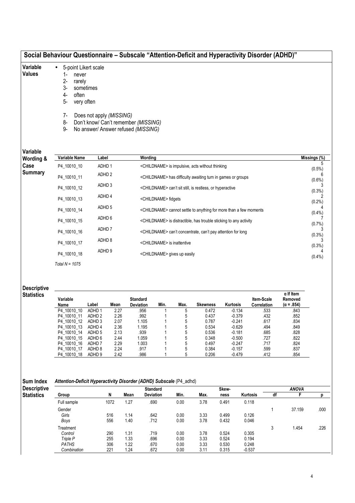| Variable<br><b>Values</b>               | 5-point Likert scale<br>$\bullet$<br>$1 -$<br>never<br>$2 -$<br>rarely<br>3-<br>often<br>4-<br>5-<br>very often<br>7-<br>8-<br>9- | sometimes<br>Does not apply (MISSING)  |                                 | Don't know/ Can't remember (MISSING)<br>No answer/ Answer refused (MISSING) |                                                                               |                                                                         |                                                                         |                      |                           |                                                  |           |  |  |
|-----------------------------------------|-----------------------------------------------------------------------------------------------------------------------------------|----------------------------------------|---------------------------------|-----------------------------------------------------------------------------|-------------------------------------------------------------------------------|-------------------------------------------------------------------------|-------------------------------------------------------------------------|----------------------|---------------------------|--------------------------------------------------|-----------|--|--|
| Variable<br>Wording &                   | Variable Name                                                                                                                     | Label                                  |                                 | Wording                                                                     |                                                                               |                                                                         |                                                                         |                      |                           | Missings (%)                                     |           |  |  |
| Case                                    | P4 10010 10                                                                                                                       | ADHD <sub>1</sub>                      |                                 |                                                                             | <childname> is impulsive, acts without thinking</childname>                   |                                                                         |                                                                         |                      |                           |                                                  |           |  |  |
| <b>Summary</b>                          | P4_10010_11                                                                                                                       | ADHD <sub>2</sub>                      |                                 |                                                                             |                                                                               |                                                                         | <childname> has difficulty awaiting turn in games or groups</childname> |                      |                           |                                                  | $(0.5\%)$ |  |  |
|                                         | P4_10010_12                                                                                                                       | ADHD <sub>3</sub>                      |                                 |                                                                             |                                                                               |                                                                         | <childname> can't sit still, is restless, or hyperactive</childname>    |                      |                           |                                                  | $(0.6\%)$ |  |  |
|                                         | P4_10010_13                                                                                                                       |                                        | <childname> fidgets</childname> |                                                                             |                                                                               |                                                                         |                                                                         |                      | (0.3%)<br>(0.2%           |                                                  |           |  |  |
|                                         | P4_10010_14                                                                                                                       | ADHD <sub>5</sub>                      |                                 |                                                                             |                                                                               |                                                                         |                                                                         |                      |                           |                                                  | (0.4% )   |  |  |
|                                         |                                                                                                                                   | ADHD 6                                 |                                 |                                                                             | <childname> cannot settle to anything for more than a few moments</childname> |                                                                         |                                                                         |                      |                           |                                                  |           |  |  |
|                                         | P4_10010_15                                                                                                                       |                                        |                                 |                                                                             | <childname> is distractible, has trouble sticking to any activity</childname> |                                                                         |                                                                         |                      |                           |                                                  |           |  |  |
|                                         | P4_10010_16                                                                                                                       | ADHD <sub>7</sub>                      |                                 |                                                                             |                                                                               | <childname> can't concentrate, can't pay attention for long</childname> |                                                                         | (0.3%)               |                           |                                                  |           |  |  |
|                                         | P4_10010_17                                                                                                                       | ADHD <sub>8</sub>                      |                                 |                                                                             |                                                                               | <childname> is inattentive</childname>                                  |                                                                         |                      |                           |                                                  | (0.3%)    |  |  |
|                                         | P4_10010_18                                                                                                                       | ADHD <sub>9</sub>                      |                                 |                                                                             |                                                                               | <childname> gives up easily</childname>                                 |                                                                         |                      |                           |                                                  | (0.4% )   |  |  |
|                                         | Total $N = 1075$                                                                                                                  |                                        |                                 |                                                                             |                                                                               |                                                                         |                                                                         |                      |                           |                                                  |           |  |  |
| <b>Descriptive</b><br><b>Statistics</b> | Variable<br>Name                                                                                                                  | Label                                  | Mean                            | <b>Standard</b><br>Deviation                                                | Min.                                                                          | Max.                                                                    | <b>Skewness</b>                                                         | Kurtosis             | Item-Scale<br>Correlation | $\alpha$ If Item<br>Removed<br>$(\alpha = .854)$ |           |  |  |
|                                         | P4_10010_10                                                                                                                       | ADHD <sub>1</sub>                      | 2.27                            | .956                                                                        | 1                                                                             | 5                                                                       | 0.472                                                                   | $-0.134$             | .533                      | .843                                             |           |  |  |
|                                         | P4 10010 11<br>P4_10010_12                                                                                                        | ADHD <sub>2</sub><br>ADHD <sub>3</sub> | 2.26<br>2.07                    | .992<br>1.105                                                               | 1<br>1                                                                        | 5<br>5                                                                  | 0.437<br>0.787                                                          | $-0.379$<br>$-0.241$ | .432<br>.617              | .852<br>.834                                     |           |  |  |
|                                         | P4 10010 13                                                                                                                       | ADHD 4                                 | 2.36                            | 1.195                                                                       | 1                                                                             | 5                                                                       | 0.534                                                                   | $-0.629$             | .494                      | .849                                             |           |  |  |
|                                         | P4_10010_14                                                                                                                       | ADHD <sub>5</sub>                      | 2.13                            | .939                                                                        | 1                                                                             | 5                                                                       | 0.536                                                                   | $-0.181$             | .685                      | .828                                             |           |  |  |
|                                         | P4 10010 15                                                                                                                       | ADHD 6                                 | 2.44                            | 1.059                                                                       | 1                                                                             | 5                                                                       | 0.348                                                                   | $-0.500$             | .727                      | .822                                             |           |  |  |

Sum Index Des

Attention-Deficit Hyperactivity Disorder (ADHD) Subscale (P4\_adhd)

| <b>Descriptive</b> |              |      |      | <b>Standard</b>  |      |      | Skew- |          |    | <b>ANOVA</b> |      |
|--------------------|--------------|------|------|------------------|------|------|-------|----------|----|--------------|------|
| <b>Statistics</b>  | Group        | N    | Mean | <b>Deviation</b> | Min. | Max. | ness  | Kurtosis | df |              |      |
|                    | Full sample  | 1072 | 1.27 | .690             | 0.00 | 3.78 | 0.491 | 0.118    |    |              |      |
|                    | Gender       |      |      |                  |      |      |       |          |    | 37.159       | .000 |
|                    | Girls        | 516  | 1.14 | .642             | 0.00 | 3.33 | 0.499 | 0.126    |    |              |      |
|                    | Boys         | 556  | 1.40 | .712             | 0.00 | 3.78 | 0.432 | 0.046    |    |              |      |
|                    | Treatment    |      |      |                  |      |      |       |          | 3  | 1.454        | .226 |
|                    | Control      | 290  | 1.31 | .719             | 0.00 | 3.78 | 0.524 | 0.305    |    |              |      |
|                    | Triple P     | 255  | 1.33 | .696             | 0.00 | 3.33 | 0.524 | 0.194    |    |              |      |
|                    | <b>PATHS</b> | 306  | 1.22 | .670             | 0.00 | 3.33 | 0.530 | 0.248    |    |              |      |
|                    | Combination  | 221  | 1.24 | .672             | 0.00 | 3.11 | 0.315 | $-0.537$ |    |              |      |

P4\_10010\_16 ADHD 7 2.29 1.003 1 5 0.497 -0.247 .717 .824 P4\_10010\_17 ADHD 8 2.24 .917 1 5 0.384 -0.157 .599 .837 P4\_10010\_18 ADHD 9 2.42 .986 1 5 0.206 -0.479 .412 .854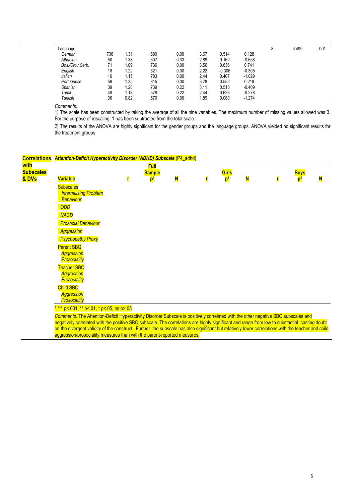| Language         |     |      |      |      |      |          |          | 8 | 3.499 | .001 |
|------------------|-----|------|------|------|------|----------|----------|---|-------|------|
| German           | 736 | 1.31 | .680 | 0.00 | 3.67 | 0.514    | 0.128    |   |       |      |
| Albanian         | 50  | 1.38 | .607 | 0.33 | 2.89 | 0.162    | $-0.658$ |   |       |      |
| Bos./Cro./ Serb. | 71  | 1.09 | .736 | 0.00 | 3.56 | 0.636    | 0.741    |   |       |      |
| English          | 18  | 1.22 | .621 | 0.00 | 2.22 | $-0.306$ | $-0.305$ |   |       |      |
| Italian          | 16  | 1.15 | .783 | 0.00 | 2.44 | 0.407    | $-1.029$ |   |       |      |
| Portuguese       | 58  | 1.35 | .815 | 0.00 | 3.78 | 0.552    | 0.218    |   |       |      |
| Spanish          | 39  | 1.28 | .739 | 0.22 | 3.11 | 0.518    | $-0.409$ |   |       |      |
| Tamil            | 48  | 1.13 | .578 | 0.22 | 2.44 | 0.626    | $-0.278$ |   |       |      |
| Turkish          | 36  | 0.82 | .570 | 0.00 | 1.89 | 0.080    | $-1.274$ |   |       |      |

1) The scale has been constructed by taking the average of all the nine variables. The maximum number of missing values allowed was 3. For the purpose of rescaling, 1 has been subtracted from the total scale.

|                          | <b>Correlations</b> Attention-Deficit Hyperactivity Disorder (ADHD) Subscale (P4_adhd)                                                              |                              |   |                |   |                |   |
|--------------------------|-----------------------------------------------------------------------------------------------------------------------------------------------------|------------------------------|---|----------------|---|----------------|---|
| with<br><b>Subscales</b> |                                                                                                                                                     | <b>Full</b><br><b>Sample</b> |   | Girls          |   | <b>Boys</b>    |   |
| & DVs                    | <b>Variable</b>                                                                                                                                     | D,                           | N | p <sup>1</sup> | N | n <sup>1</sup> | N |
|                          | <b>Subscales</b>                                                                                                                                    |                              |   |                |   |                |   |
|                          | <b>Internalising Problem</b>                                                                                                                        |                              |   |                |   |                |   |
|                          | <b>Behaviour</b>                                                                                                                                    |                              |   |                |   |                |   |
|                          | <b>ODD</b>                                                                                                                                          |                              |   |                |   |                |   |
|                          | <b>NACD</b>                                                                                                                                         |                              |   |                |   |                |   |
|                          | <b>Prosocial Behaviour</b>                                                                                                                          |                              |   |                |   |                |   |
|                          | <b>Aggression</b>                                                                                                                                   |                              |   |                |   |                |   |
|                          | <b>Psychopathy Proxy</b>                                                                                                                            |                              |   |                |   |                |   |
|                          | <b>Parent SBQ</b>                                                                                                                                   |                              |   |                |   |                |   |
|                          | <b>Aggression</b>                                                                                                                                   |                              |   |                |   |                |   |
|                          | <b>Prosociality</b>                                                                                                                                 |                              |   |                |   |                |   |
|                          | <b>Teacher SBQ</b>                                                                                                                                  |                              |   |                |   |                |   |
|                          | <b>Aggression</b>                                                                                                                                   |                              |   |                |   |                |   |
|                          | <b>Prosociality</b>                                                                                                                                 |                              |   |                |   |                |   |
|                          | <b>Child SBQ</b>                                                                                                                                    |                              |   |                |   |                |   |
|                          | <b>Aggression</b>                                                                                                                                   |                              |   |                |   |                |   |
|                          | Prosociality                                                                                                                                        |                              |   |                |   |                |   |
|                          | *** p<.001, ** p<.01, * p<.05, ns p>.05                                                                                                             |                              |   |                |   |                |   |
|                          | Comments: The Attention-Deficit Hyperactivity Disorder Subscale is positively correlated with the other negative SBQ subscales and                  |                              |   |                |   |                |   |
|                          | negatively correlated with the positive SBQ subscale. The correlations are highly significant and range from low to substantial, casting doubt      |                              |   |                |   |                |   |
|                          | on the divergent validity of the construct. Further, the subscale has also significant but relatively lower correlations with the teacher and child |                              |   |                |   |                |   |
|                          | aggression/prosociality measures than with the parent-reported measures.                                                                            |                              |   |                |   |                |   |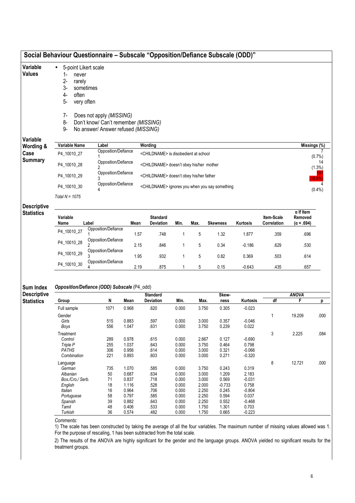| Variable                                | 5-point Likert scale                                                                                   |                                                                             |                |                                                     |                |                |                   |                   |                           |                                                  |                 |  |
|-----------------------------------------|--------------------------------------------------------------------------------------------------------|-----------------------------------------------------------------------------|----------------|-----------------------------------------------------|----------------|----------------|-------------------|-------------------|---------------------------|--------------------------------------------------|-----------------|--|
| <b>Values</b>                           | 1-<br>never<br>$2 -$<br>rarely<br>3-<br>sometimes<br>$4-$<br>often<br>5-<br>very often<br>7-           | Does not apply (MISSING)                                                    |                |                                                     |                |                |                   |                   |                           |                                                  |                 |  |
|                                         | 8-<br>9-                                                                                               | Don't know/ Can't remember (MISSING)<br>No answer/ Answer refused (MISSING) |                |                                                     |                |                |                   |                   |                           |                                                  |                 |  |
| Variable<br>Wording &                   | Variable Name                                                                                          | Label                                                                       |                | Wording                                             |                |                |                   |                   |                           |                                                  | Missings (%)    |  |
| Case                                    | Opposition/Defiance<br>P4_10010_27                                                                     |                                                                             |                | <childname> is disobedient at school</childname>    |                |                |                   |                   |                           |                                                  | $(0.7\%)$       |  |
| <b>Summary</b>                          | Opposition/Defiance<br>P4_10010_28<br><childname> doesn't obey his/her mother<br/>2</childname>        |                                                                             |                |                                                     |                |                |                   |                   |                           |                                                  | 14<br>$(1.3\%)$ |  |
|                                         | P4_10010_29                                                                                            | Opposition/Defiance<br>3                                                    |                | <childname> doesn't obey his/her father</childname> |                |                |                   |                   |                           |                                                  | 16.8%           |  |
|                                         | Opposition/Defiance<br>P4_10010_30<br><childname> ignores you when you say something<br/>4</childname> |                                                                             |                |                                                     |                |                |                   |                   |                           |                                                  |                 |  |
|                                         | Total $N = 1075$                                                                                       |                                                                             |                |                                                     |                |                |                   |                   |                           |                                                  | $(0.4\%)$       |  |
| <b>Descriptive</b><br><b>Statistics</b> | Variable<br>Name                                                                                       | Label                                                                       | Mean           | <b>Standard</b><br><b>Deviation</b>                 | Min.           | Max.           | <b>Skewness</b>   | Kurtosis          | Item-Scale<br>Correlation | $\alpha$ If Item<br>Removed<br>$(\alpha = .694)$ |                 |  |
|                                         | P4_10010_27                                                                                            | Opposition/Defiance                                                         | 1.57           | .748                                                | $\mathbf{1}$   | 5              | 1.32              | 1.877             | .359                      | .696                                             |                 |  |
|                                         | P4_10010_28                                                                                            | Opposition/Defiance                                                         | 2.15           | .846                                                | 1              | 5              | 0.34              | $-0.186$          | .629                      | .530                                             |                 |  |
|                                         | P4_10010_29                                                                                            | Opposition/Defiance                                                         | 1.95           | .932                                                | 1              | 5              | 0.82              | 0.369             | .503                      | .614                                             |                 |  |
|                                         | P4_10010_30                                                                                            | Opposition/Defiance                                                         | 2.19           | .875                                                | $\mathbf{1}$   | 5              | 0.15              | $-0.643$          | .435                      | .657                                             |                 |  |
| <b>Sum Index</b><br><b>Descriptive</b>  |                                                                                                        | Opposition/Defiance (ODD) Subscale (P4_odd)                                 |                |                                                     |                |                |                   |                   |                           |                                                  |                 |  |
| <b>Statistics</b>                       | Group                                                                                                  | N                                                                           | Mean           | <b>Standard</b><br>Deviation                        | Min.           | Max.           | Skew-<br>ness     | Kurtosis          | df                        | <b>ANOVA</b><br>F                                | р               |  |
|                                         | Full sample                                                                                            | 1071                                                                        | 0.968          | .620                                                | 0.000          | 3.750          | 0.305             | $-0.023$          |                           |                                                  |                 |  |
|                                         | Gender                                                                                                 |                                                                             |                |                                                     |                |                |                   |                   | 1                         | 19.209                                           | .000            |  |
|                                         | Girls                                                                                                  | 515<br>556                                                                  | 0.883          | .597<br>.631                                        | 0.000          | 3.000          | 0.357             | $-0.046$          |                           |                                                  |                 |  |
|                                         | Boys                                                                                                   |                                                                             | 1.047          |                                                     | 0.000          | 3.750          | 0.239             | 0.022             |                           |                                                  |                 |  |
|                                         | Treatment<br>Control                                                                                   | 289                                                                         | 0.978          | .615                                                | 0.000          | 2.667          | 0.127             | $-0.690$          | 3                         | 2.225                                            | .084            |  |
|                                         | Triple P                                                                                               | 255                                                                         | 1.037          | .643                                                | 0.000          | 3.750          | 0.464             | 0.798             |                           |                                                  |                 |  |
|                                         | <b>PATHS</b>                                                                                           | 306                                                                         | 0.956          | .614                                                | 0.000          | 3.000          | 0.321             | $-0.066$          |                           |                                                  |                 |  |
|                                         | Combination                                                                                            | 221                                                                         | 0.893          | .603                                                | 0.000          | 3.000          | 0.271             | $-0.320$          |                           |                                                  |                 |  |
|                                         | Language                                                                                               |                                                                             |                |                                                     |                |                |                   |                   | 8                         | 12.721                                           | .000            |  |
|                                         | German                                                                                                 | 735                                                                         | 1.070          | .585                                                | 0.000          | 3.750          | 0.243             | 0.319             |                           |                                                  |                 |  |
|                                         | Albanian                                                                                               | 50                                                                          | 0.687          | .634                                                | 0.000          | 3.000          | 1.209             | 2.183             |                           |                                                  |                 |  |
|                                         | Bos./Cro./ Serb.                                                                                       | 71                                                                          | 0.837          | .718                                                | 0.000          | 3.000          | 0.569             | $-0.031$          |                           |                                                  |                 |  |
|                                         |                                                                                                        |                                                                             |                |                                                     |                |                |                   |                   |                           |                                                  |                 |  |
|                                         | English<br>Italian                                                                                     | 18<br>16                                                                    | 1.116<br>0.964 | .528<br>.706                                        | 0.000<br>0.000 | 2.000<br>2.250 | $-0.733$<br>0.245 | 0.758<br>$-0.804$ |                           |                                                  |                 |  |

1) The scale has been constructed by taking the average of all the four variables. The maximum number of missing values allowed was 1. For the purpose of rescaling, 1 has been subtracted from the total scale.

Spanish 39 0.882 .643 0.000 2.250 0.552 -0.468 Tamil 48 0.406 .533 0.000 1.750 1.301 0.703 Turkish 36 0.574 .482 0.000 1.750 0.665 -0.223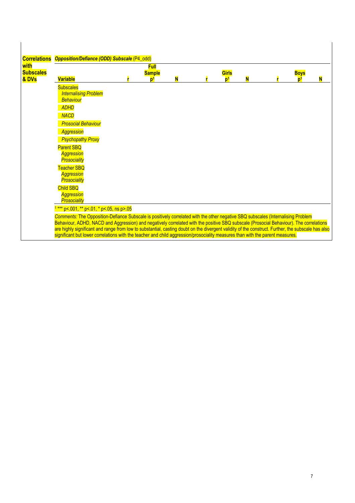| <b>Correlations</b>      | <b>Opposition/Defiance (ODD) Subscale (P4_odd)</b>                                                                                                                                                                                                                                  |                              |   |                |   |             |  |
|--------------------------|-------------------------------------------------------------------------------------------------------------------------------------------------------------------------------------------------------------------------------------------------------------------------------------|------------------------------|---|----------------|---|-------------|--|
| with<br><b>Subscales</b> |                                                                                                                                                                                                                                                                                     | <b>Full</b><br><b>Sample</b> |   | Girls          |   | <b>Boys</b> |  |
| & DVs                    | <b>Variable</b>                                                                                                                                                                                                                                                                     | $\mathbf{p}^1$               | N | n <sup>1</sup> | N |             |  |
|                          | <b>Subscales</b><br><b>Internalising Problem</b>                                                                                                                                                                                                                                    |                              |   |                |   |             |  |
|                          | <b>Behaviour</b>                                                                                                                                                                                                                                                                    |                              |   |                |   |             |  |
|                          | <b>ADHD</b>                                                                                                                                                                                                                                                                         |                              |   |                |   |             |  |
|                          | <b>NACD</b>                                                                                                                                                                                                                                                                         |                              |   |                |   |             |  |
|                          | <b>Prosocial Behaviour</b>                                                                                                                                                                                                                                                          |                              |   |                |   |             |  |
|                          | <b>Aggression</b>                                                                                                                                                                                                                                                                   |                              |   |                |   |             |  |
|                          | <b>Psychopathy Proxy</b>                                                                                                                                                                                                                                                            |                              |   |                |   |             |  |
|                          | <b>Parent SBQ</b>                                                                                                                                                                                                                                                                   |                              |   |                |   |             |  |
|                          | <b>Aggression</b><br><b>Prosociality</b>                                                                                                                                                                                                                                            |                              |   |                |   |             |  |
|                          | <b>Teacher SBQ</b>                                                                                                                                                                                                                                                                  |                              |   |                |   |             |  |
|                          | <b>Aggression</b>                                                                                                                                                                                                                                                                   |                              |   |                |   |             |  |
|                          | <b>Prosociality</b>                                                                                                                                                                                                                                                                 |                              |   |                |   |             |  |
|                          | <b>Child SBQ</b><br><b>Aggression</b>                                                                                                                                                                                                                                               |                              |   |                |   |             |  |
|                          | Prosociality                                                                                                                                                                                                                                                                        |                              |   |                |   |             |  |
|                          | *** p<.001, ** p<.01, * p<.05, ns p>.05                                                                                                                                                                                                                                             |                              |   |                |   |             |  |
|                          | Comments: The Opposition-Defiance Subscale is positively correlated with the other negative SBQ subscales (Internalising Problem<br>Behaviour, ADHD, NACD and Aggression) and negatively correlated with the positive SBQ subscale (Prosocial Behaviour). The correlations          |                              |   |                |   |             |  |
|                          | are highly significant and range from low to substantial, casting doubt on the divergent validity of the construct. Further, the subscale has also<br>significant but lower correlations with the teacher and child aggression/prosociality measures than with the parent measures. |                              |   |                |   |             |  |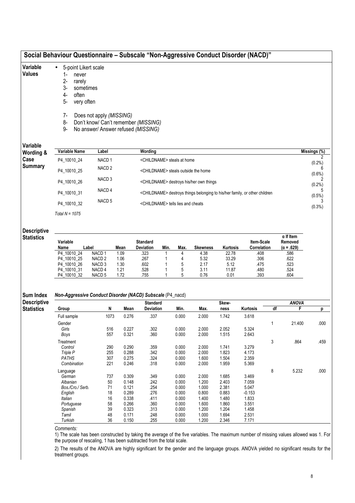| Variable                                                    | 5-point Likert scale<br>$\bullet$                         |                                                     |                |                                                                                        |                                                 |                         |                   |                     |    |                           |              |  |  |  |
|-------------------------------------------------------------|-----------------------------------------------------------|-----------------------------------------------------|----------------|----------------------------------------------------------------------------------------|-------------------------------------------------|-------------------------|-------------------|---------------------|----|---------------------------|--------------|--|--|--|
| Values                                                      | 1-<br>never                                               |                                                     |                |                                                                                        |                                                 |                         |                   |                     |    |                           |              |  |  |  |
|                                                             |                                                           |                                                     |                |                                                                                        |                                                 |                         |                   |                     |    |                           |              |  |  |  |
|                                                             | $2 -$<br>rarely                                           |                                                     |                |                                                                                        |                                                 |                         |                   |                     |    |                           |              |  |  |  |
|                                                             | 3-<br>sometimes                                           |                                                     |                |                                                                                        |                                                 |                         |                   |                     |    |                           |              |  |  |  |
|                                                             | 4-<br>often                                               |                                                     |                |                                                                                        |                                                 |                         |                   |                     |    |                           |              |  |  |  |
|                                                             | $5-$<br>very often                                        |                                                     |                |                                                                                        |                                                 |                         |                   |                     |    |                           |              |  |  |  |
|                                                             |                                                           |                                                     |                |                                                                                        |                                                 |                         |                   |                     |    |                           |              |  |  |  |
|                                                             |                                                           |                                                     |                |                                                                                        |                                                 |                         |                   |                     |    |                           |              |  |  |  |
|                                                             | $7-$                                                      | Does not apply (MISSING)                            |                |                                                                                        |                                                 |                         |                   |                     |    |                           |              |  |  |  |
|                                                             | 8-                                                        |                                                     |                | Don't know/ Can't remember (MISSING)                                                   |                                                 |                         |                   |                     |    |                           |              |  |  |  |
|                                                             | 9-                                                        | No answer/ Answer refused (MISSING)                 |                |                                                                                        |                                                 |                         |                   |                     |    |                           |              |  |  |  |
|                                                             |                                                           |                                                     |                |                                                                                        |                                                 |                         |                   |                     |    |                           |              |  |  |  |
| Variable                                                    |                                                           |                                                     |                |                                                                                        |                                                 |                         |                   |                     |    |                           |              |  |  |  |
| Wording &                                                   | <b>Variable Name</b>                                      | Label                                               |                | Wording                                                                                |                                                 |                         |                   |                     |    |                           | Missings (%) |  |  |  |
| Case                                                        | P4 10010 24                                               | NACD <sub>1</sub>                                   |                |                                                                                        | <childname> steals at home</childname>          |                         |                   |                     |    |                           | $(0.2\%)$    |  |  |  |
| <b>Summary</b>                                              | P4_10010_25                                               | NACD <sub>2</sub>                                   |                |                                                                                        |                                                 |                         |                   |                     |    |                           |              |  |  |  |
|                                                             |                                                           | NACD <sub>3</sub>                                   |                |                                                                                        | <childname> steals outside the home</childname> |                         |                   |                     |    |                           |              |  |  |  |
|                                                             | P4_10010_26                                               | <childname> destroys his/her own things</childname> |                |                                                                                        |                                                 |                         |                   |                     |    | $(0.2\%)$                 |              |  |  |  |
|                                                             | P4_10010_31                                               | NACD <sub>4</sub>                                   |                | <childname> destroys things belonging to his/her family, or other children</childname> |                                                 |                         |                   |                     |    |                           |              |  |  |  |
|                                                             |                                                           | NACD <sub>5</sub>                                   |                |                                                                                        |                                                 |                         |                   |                     |    |                           | $(0.5\%)$    |  |  |  |
|                                                             | P4_10010_32                                               |                                                     |                |                                                                                        | <childname> tells lies and cheats</childname>   |                         |                   |                     |    |                           | (0.3%)       |  |  |  |
|                                                             | Total $N = 1075$                                          |                                                     |                |                                                                                        |                                                 |                         |                   |                     |    |                           |              |  |  |  |
|                                                             |                                                           |                                                     |                |                                                                                        |                                                 |                         |                   |                     |    |                           |              |  |  |  |
| <b>Descriptive</b>                                          |                                                           |                                                     |                |                                                                                        |                                                 |                         |                   |                     |    |                           |              |  |  |  |
| <b>Statistics</b>                                           |                                                           |                                                     |                |                                                                                        |                                                 |                         |                   |                     |    | $\alpha$ If Item          |              |  |  |  |
|                                                             | Variable                                                  |                                                     |                | <b>Standard</b>                                                                        |                                                 |                         |                   | Item-Scale          |    | Removed                   |              |  |  |  |
|                                                             | Name<br>Label<br>P4 10010 24                              | NACD <sub>1</sub>                                   | Mean<br>1.09   | Deviation<br>.323                                                                      | Min.<br>Max.<br>4<br>1                          | <b>Skewness</b><br>4.38 | Kurtosis<br>22.78 | Correlation<br>.408 |    | $(\alpha = .629)$<br>.586 |              |  |  |  |
|                                                             | P4_10010_25                                               | NACD <sub>2</sub>                                   | 1.06           | .267                                                                                   | $\mathbf 1$<br>4                                | 5.32                    | 33.29             | .306                |    | .622                      |              |  |  |  |
|                                                             |                                                           |                                                     |                | .602                                                                                   | 5                                               |                         |                   |                     |    |                           |              |  |  |  |
|                                                             | P4_10010_26                                               | NACD <sub>3</sub><br>NACD <sub>4</sub>              | 1.30           |                                                                                        | 5                                               | 2.17                    | 5.12              | .475<br>.480        |    | .523<br>.524              |              |  |  |  |
|                                                             | P4_10010_31<br>P4_10010_32                                | NACD <sub>5</sub>                                   | 1.21<br>1.72   | .528<br>.755                                                                           | 5                                               | 3.11<br>0.76            | 11.87<br>0.01     | .393                |    | .604                      |              |  |  |  |
|                                                             |                                                           |                                                     |                |                                                                                        |                                                 |                         |                   |                     |    |                           |              |  |  |  |
|                                                             | Non-Aggressive Conduct Disorder (NACD) Subscale (P4_nacd) |                                                     |                |                                                                                        |                                                 |                         |                   |                     |    |                           |              |  |  |  |
|                                                             |                                                           |                                                     |                |                                                                                        |                                                 |                         | Skew-             |                     |    | <b>ANOVA</b>              |              |  |  |  |
|                                                             |                                                           |                                                     |                |                                                                                        |                                                 |                         | ness              | Kurtosis            | df | F                         |              |  |  |  |
|                                                             |                                                           |                                                     |                | <b>Standard</b>                                                                        |                                                 |                         |                   |                     |    |                           |              |  |  |  |
|                                                             | Group                                                     | N                                                   | Mean           | Deviation                                                                              | Min.                                            | Max.                    |                   |                     |    |                           |              |  |  |  |
| <b>Sum Index</b><br><b>Descriptive</b><br><b>Statistics</b> | Full sample                                               | 1073                                                | 0.276          | .337                                                                                   | 0.000                                           | 2.000                   | 1.742             | 3.618               |    |                           |              |  |  |  |
|                                                             | Gender                                                    |                                                     |                |                                                                                        |                                                 |                         |                   |                     | 1  | 21.400                    | .000         |  |  |  |
|                                                             | Girls                                                     | 516                                                 | 0.227          | .302                                                                                   | 0.000                                           | 2.000                   | 2.052             | 5.324               |    |                           |              |  |  |  |
|                                                             | Boys                                                      | 557                                                 | 0.321          | .360                                                                                   | 0.000                                           | 2.000                   | 1.515             | 2.643               |    |                           |              |  |  |  |
|                                                             | Treatment                                                 |                                                     |                |                                                                                        |                                                 |                         |                   |                     | 3  | .864                      |              |  |  |  |
|                                                             | Control                                                   | 290                                                 | 0.290          | .359                                                                                   | 0.000                                           | 2.000                   | 1.741             | 3.279               |    |                           |              |  |  |  |
|                                                             | Triple P                                                  | 255                                                 | 0.288          | .342                                                                                   | 0.000                                           | 2.000                   | 1.823             | 4.173               |    |                           |              |  |  |  |
|                                                             | <b>PATHS</b>                                              | 307                                                 | 0.275          | .324                                                                                   | 0.000                                           | 1.600                   | 1.504             | 2.359               |    |                           |              |  |  |  |
|                                                             | Combination                                               | 221                                                 | 0.246          | .318                                                                                   | 0.000                                           | 2.000                   | 1.959             | 5.369               |    |                           |              |  |  |  |
|                                                             |                                                           |                                                     |                |                                                                                        |                                                 |                         |                   |                     |    |                           |              |  |  |  |
|                                                             | Language                                                  |                                                     |                |                                                                                        |                                                 |                         |                   |                     | 8  | 5.232                     |              |  |  |  |
|                                                             | German                                                    | 737                                                 | 0.309          | .349                                                                                   | 0.000                                           | 2.000                   | 1.685             | 3.469               |    |                           |              |  |  |  |
|                                                             | Albanian                                                  | 50                                                  | 0.148          | .242                                                                                   | 0.000                                           | 1.200                   | 2.403             | 7.059               |    |                           |              |  |  |  |
|                                                             | Bos./Cro./ Serb.                                          | 71                                                  | 0.121          | .254                                                                                   | 0.000                                           | 1.000                   | 2.381             | 5.047               |    |                           |              |  |  |  |
|                                                             | English                                                   | 18                                                  | 0.289          | .276                                                                                   | 0.000                                           | 0.800                   | 0.883             | $-0.153$            |    |                           | .459<br>.000 |  |  |  |
|                                                             | Italian<br>Portuguese                                     | 16<br>58                                            | 0.338<br>0.266 | .411<br>.360                                                                           | 0.000<br>0.000                                  | 1.400<br>1.600          | 1.480<br>1.860    | 1.833<br>3.551      |    |                           |              |  |  |  |

1) The scale has been constructed by taking the average of the five variables. The maximum number of missing values allowed was 1. For the purpose of rescaling, 1 has been subtracted from the total scale.

Spanish 39 0.323 .313 0.000 1.200 1.204 1.458 Tamil 48 0.171 .248 0.000 1.000 1.694 2.531 Turkish 36 0.150 .255 0.000 1.200 2.346 7.171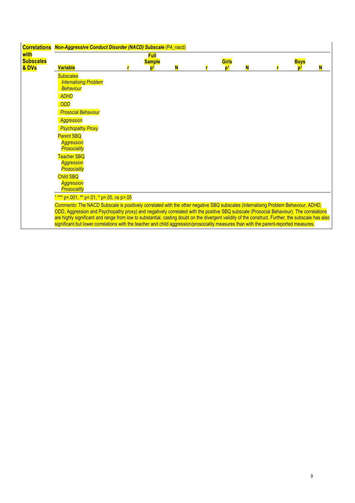| <b>Correlations</b>       | <b>Non-Aggressive Conduct Disorder (NACD) Subscale (P4_nacd)</b>                                                                                   |                     |   |                         |  |                               |  |
|---------------------------|----------------------------------------------------------------------------------------------------------------------------------------------------|---------------------|---|-------------------------|--|-------------------------------|--|
| with                      |                                                                                                                                                    | <b>Full</b>         |   |                         |  |                               |  |
| <b>Subscales</b><br>& DVs | <b>Variable</b>                                                                                                                                    | <b>Sample</b><br>D) | N | Girls<br>n <sup>1</sup> |  | <b>Boys</b><br>n <sup>1</sup> |  |
|                           | <b>Subscales</b>                                                                                                                                   |                     |   |                         |  |                               |  |
|                           | <b>Internalising Problem</b>                                                                                                                       |                     |   |                         |  |                               |  |
|                           | <b>Behaviour</b>                                                                                                                                   |                     |   |                         |  |                               |  |
|                           | <b>ADHD</b>                                                                                                                                        |                     |   |                         |  |                               |  |
|                           | <b>ODD</b>                                                                                                                                         |                     |   |                         |  |                               |  |
|                           | <b>Prosocial Behaviour</b>                                                                                                                         |                     |   |                         |  |                               |  |
|                           | <b>Aggression</b>                                                                                                                                  |                     |   |                         |  |                               |  |
|                           | <b>Psychopathy Proxy</b>                                                                                                                           |                     |   |                         |  |                               |  |
|                           | <b>Parent SBQ</b>                                                                                                                                  |                     |   |                         |  |                               |  |
|                           | <b>Aggression</b><br><b>Prosociality</b>                                                                                                           |                     |   |                         |  |                               |  |
|                           | <b>Teacher SBQ</b>                                                                                                                                 |                     |   |                         |  |                               |  |
|                           | <b>Aggression</b>                                                                                                                                  |                     |   |                         |  |                               |  |
|                           | <b>Prosociality</b>                                                                                                                                |                     |   |                         |  |                               |  |
|                           | <b>Child SBQ</b>                                                                                                                                   |                     |   |                         |  |                               |  |
|                           | <b>Aggression</b><br>Prosociality                                                                                                                  |                     |   |                         |  |                               |  |
|                           | <sup>1 ***</sup> p<.001, ** p<.01, * p<.05, ns p>.05                                                                                               |                     |   |                         |  |                               |  |
|                           | Comments: The NACD Subscale is positively correlated with the other negative SBQ subscales (Internalising Problem Behaviour, ADHD,                 |                     |   |                         |  |                               |  |
|                           | ODD, Aggression and Psychopathy proxy) and negatively correlated with the positive SBQ subscale (Prosocial Behaviour). The correlations            |                     |   |                         |  |                               |  |
|                           | are highly significant and range from low to substantial, casting doubt on the divergent validity of the construct. Further, the subscale has also |                     |   |                         |  |                               |  |
|                           | significant but lower correlations with the teacher and child aggression/prosociality measures than with the parent-reported measures.             |                     |   |                         |  |                               |  |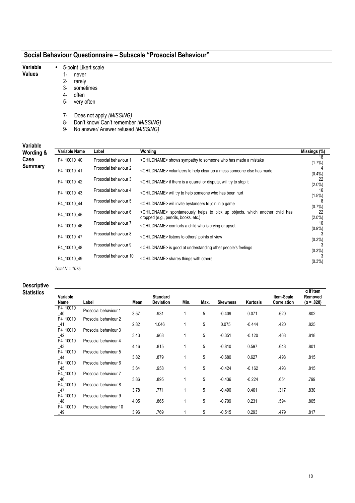#### Social Behaviour Questionnaire – Subscale "Prosocial Behaviour"

- 5-point Likert scale
- Variable Values
- 1- never
- 2- rarely
- 3- sometimes
- 4- often
- 5- very often
- 7- Does not apply (MISSING)
- 8- Don't know/ Can't remember (MISSING)
- 9- No answer/ Answer refused (MISSING)

#### Variable

| Variable<br>Wording & | Variable Name    | Label                  | Wording                                                                                                                          | Missings (%)    |
|-----------------------|------------------|------------------------|----------------------------------------------------------------------------------------------------------------------------------|-----------------|
| Case                  | P4 10010 40      | Prosocial behaviour 1  | <childname> shows sympathy to someone who has made a mistake</childname>                                                         | 18<br>$(1.7\%)$ |
| Summary               | P4 10010 41      | Prosocial behaviour 2  | <childname> volunteers to help clear up a mess someone else has made</childname>                                                 | $(0.4\%)$       |
|                       | P4 10010 42      | Prosocial behaviour 3  | <childname> if there is a quarrel or dispute, will try to stop it</childname>                                                    | 22<br>$(2.0\%)$ |
|                       | P4 10010 43      | Prosocial behaviour 4  | <childname> will try to help someone who has been hurt</childname>                                                               | 16<br>(1.5%)    |
|                       | P4 10010 44      | Prosocial behaviour 5  | <childname> will invite bystanders to join in a game</childname>                                                                 | $(0.7\%)$       |
|                       | P4_10010_45      | Prosocial behaviour 6  | <childname> spontaneously helps to pick up objects, which another child has<br/>dropped (e.g., pencils, books, etc.)</childname> | 22<br>$(2.0\%)$ |
|                       | P4 10010 46      | Prosocial behaviour 7  | <childname> comforts a child who is crying or upset</childname>                                                                  | 10<br>$(0.9\%)$ |
|                       | P4 10010 47      | Prosocial behaviour 8  | <childname> listens to others' points of view</childname>                                                                        | $(0.3\%)$       |
|                       | P4 10010 48      | Prosocial behaviour 9  | <childname> is good at understanding other people's feelings</childname>                                                         | $(0.3\%)$       |
|                       | P4 10010 49      | Prosocial behaviour 10 | <childname> shares things with others</childname>                                                                                |                 |
|                       | Total $N = 1075$ |                        |                                                                                                                                  | (0.3%)          |

#### Descriptive

Statistics

| Variable<br>Name   | Label                  | Mean | <b>Standard</b><br><b>Deviation</b> | Min. | Max. | <b>Skewness</b> | Kurtosis | Item-Scale<br>Correlation | $\alpha$ If Item<br>Removed<br>$(\alpha = .828)$ |
|--------------------|------------------------|------|-------------------------------------|------|------|-----------------|----------|---------------------------|--------------------------------------------------|
| P4_10010           | Prosocial behaviour 1  |      |                                     |      |      |                 |          |                           |                                                  |
| $-40$              |                        | 3.57 | .931                                |      | 5    | $-0.409$        | 0.071    | .620                      | .802                                             |
| P4_10010           | Prosocial behaviour 2  |      |                                     |      |      |                 |          |                           |                                                  |
| $\_41$             |                        | 2.82 | 1.046                               |      | 5    | 0.075           | $-0.444$ | .420                      | .825                                             |
| P4 10010           | Prosocial behaviour 3  |      |                                     |      |      |                 |          |                           |                                                  |
| $-42$              |                        | 3.43 | .968                                |      | 5    | $-0.351$        | $-0.120$ | .468                      | .818                                             |
| P4 10010           | Prosocial behaviour 4  | 4.16 | .815                                |      | 5    | $-0.810$        | 0.597    | .648                      | .801                                             |
| $\_43$<br>P4 10010 | Prosocial behaviour 5  |      |                                     |      |      |                 |          |                           |                                                  |
|                    |                        | 3.82 | .879                                |      | 5    | $-0.680$        | 0.627    | .498                      | .815                                             |
| $-44$<br>P4 10010  | Prosocial behaviour 6  |      |                                     |      |      |                 |          |                           |                                                  |
| $-45$              |                        | 3.64 | .958                                |      | 5    | $-0.424$        | $-0.162$ | .493                      | .815                                             |
| P4 10010           | Prosocial behaviour 7  |      |                                     |      |      |                 |          |                           |                                                  |
| _46                |                        | 3.86 | .895                                |      | 5    | $-0.436$        | $-0.224$ | .651                      | .799                                             |
| P4 10010           | Prosocial behaviour 8  |      |                                     |      |      |                 |          |                           |                                                  |
| $-47$              |                        | 3.78 | .771                                |      | 5    | $-0.490$        | 0.461    | .317                      | .830                                             |
| P4_10010           | Prosocial behaviour 9  |      |                                     |      |      |                 |          |                           |                                                  |
| $\_48$             |                        | 4.05 | .865                                |      | 5    | $-0.709$        | 0.231    | .594                      | .805                                             |
| P4 10010           | Prosocial behaviour 10 |      |                                     |      |      |                 |          |                           |                                                  |
| $-49$              |                        | 3.96 | .769                                |      | 5    | $-0.515$        | 0.293    | .479                      | .817                                             |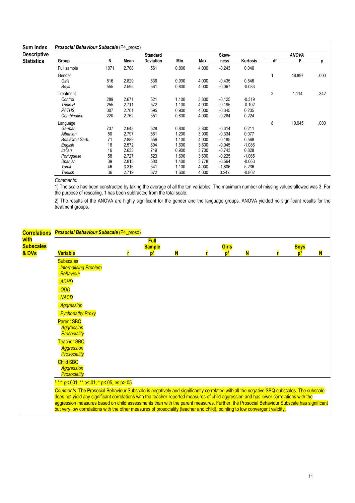#### Sum Index Prosocial Behaviour Subscale (P4\_proso)

| ounn muon          |                  | $\cdots$ |       |                 |       |       |          |          |    |              |      |
|--------------------|------------------|----------|-------|-----------------|-------|-------|----------|----------|----|--------------|------|
| <b>Descriptive</b> |                  |          |       | <b>Standard</b> |       |       | Skew-    |          |    | <b>ANOVA</b> |      |
| <b>Statistics</b>  | Group            | N        | Mean  | Deviation       | Min.  | Max.  | ness     | Kurtosis | df | F            | р    |
|                    | Full sample      | 1071     | 2.708 | .561            | 0.800 | 4.000 | $-0.243$ | 0.040    |    |              |      |
|                    | Gender           |          |       |                 |       |       |          |          |    | 48.897       | .000 |
|                    | Girls            | 516      | 2.829 | .536            | 0.900 | 4.000 | $-0.435$ | 0.546    |    |              |      |
|                    | Boys             | 555      | 2.595 | .561            | 0.800 | 4.000 | $-0.067$ | $-0.083$ |    |              |      |
|                    | Treatment        |          |       |                 |       |       |          |          | 3  | 1.114        | .342 |
|                    | Control          | 289      | 2.671 | .521            | 1.100 | 3.800 | $-0.125$ | $-0.319$ |    |              |      |
|                    | Triple P         | 255      | 2.711 | .572            | 1.100 | 4.000 | $-0.195$ | $-0.102$ |    |              |      |
|                    | PATHS            | 307      | 2.701 | .595            | 0.900 | 4.000 | $-0.345$ | 0.235    |    |              |      |
|                    | Combination      | 220      | 2.762 | .551            | 0.800 | 4.000 | $-0.284$ | 0.224    |    |              |      |
|                    | Language         |          |       |                 |       |       |          |          | 8  | 10.045       | .000 |
|                    | German           | 737      | 2.643 | .528            | 0.800 | 3.800 | $-0.314$ | 0.211    |    |              |      |
|                    | Albanian         | 50       | 2.797 | .561            | 1.200 | 3.900 | $-0.334$ | 0.077    |    |              |      |
|                    | Bos./Cro./ Serb. | 71       | 2.889 | .556            | 1.100 | 4.000 | $-0.185$ | 0.568    |    |              |      |
|                    | English          | 18       | 2.572 | .604            | 1.600 | 3.600 | $-0.045$ | $-1.086$ |    |              |      |
|                    | Italian          | 16       | 2.633 | .719            | 0.900 | 3.700 | $-0.743$ | 0.828    |    |              |      |
|                    | Portuguese       | 58       | 2.727 | .523            | 1.600 | 3.600 | $-0.225$ | $-1.065$ |    |              |      |
|                    | Spanish          | 39       | 2.815 | .580            | 1.400 | 3.778 | $-0.564$ | $-0.063$ |    |              |      |
|                    | Tamil            | 46       | 3.316 | .541            | 1.100 | 4.000 | $-1.806$ | 5.236    |    |              |      |
|                    | Turkish          | 36       | 2.719 | .672            | 1.600 | 4.000 | 0.247    | $-0.802$ |    |              |      |

Comments:

1) The scale has been constructed by taking the average of all the ten variables. The maximum number of missing values allowed was 3. For the purpose of rescaling, 1 has been subtracted from the total scale.

| <b>Correlations</b>               | <b>Prosocial Behaviour Subscale (P4 proso)</b>                                                                                                                                                                                                                                                                               |                                                |   |                         |   |                   |   |
|-----------------------------------|------------------------------------------------------------------------------------------------------------------------------------------------------------------------------------------------------------------------------------------------------------------------------------------------------------------------------|------------------------------------------------|---|-------------------------|---|-------------------|---|
| with<br><b>Subscales</b><br>& DVs | <b>Variable</b>                                                                                                                                                                                                                                                                                                              | <b>Full</b><br><b>Sample</b><br>$\mathbf{D}^1$ | N | Girls<br>b <sup>1</sup> | N | <b>Boys</b><br>ŋ1 | N |
|                                   | <b>Subscales</b><br><b>Internalising Problem</b><br><b>Behaviour</b>                                                                                                                                                                                                                                                         |                                                |   |                         |   |                   |   |
|                                   | <b>ADHD</b><br>ODD                                                                                                                                                                                                                                                                                                           |                                                |   |                         |   |                   |   |
|                                   | <b>NACD</b><br><b>Aggression</b>                                                                                                                                                                                                                                                                                             |                                                |   |                         |   |                   |   |
|                                   | <b>Pychopathy Proxy</b><br><b>Parent SBQ</b><br><b>Aggression</b><br><b>Prosociality</b>                                                                                                                                                                                                                                     |                                                |   |                         |   |                   |   |
|                                   | <b>Teacher SBQ</b><br><b>Aggression</b><br><b>Prosociality</b>                                                                                                                                                                                                                                                               |                                                |   |                         |   |                   |   |
|                                   | Child SBQ<br><b>Aggression</b><br>Prosociality                                                                                                                                                                                                                                                                               |                                                |   |                         |   |                   |   |
|                                   | *** p<.001, ** p<.01, * p<.05, ns p>.05<br>Comments: The Prosocial Behaviour Subscale is negatively and significantly correlated with all the negative SBQ subscales. The subscale<br>does not yield any significant correlations with the teacher-reported measures of child aggression and has lower correlations with the |                                                |   |                         |   |                   |   |
|                                   | aggression measures based on child assessments than with the parent measures. Further, the Prosocial Behaviour Subscale has significant<br>but very low correlations with the other measures of prosociality (teacher and child), pointing to low convergent validity.                                                       |                                                |   |                         |   |                   |   |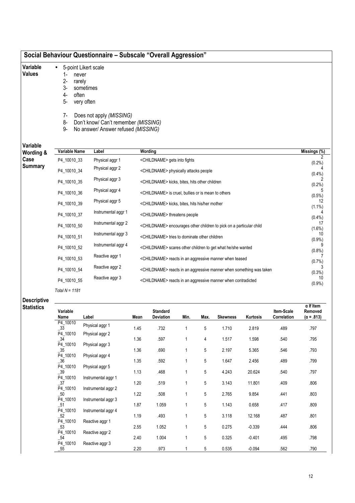- Variable • 5-point Likert scale
- Values
- 1- never
- 2- rarely
- 3- sometimes
- 4- often
- 5- very often
- 7- Does not apply (MISSING)
- 8- Don't know/ Can't remember (MISSING)
- 9- No answer/ Answer refused (MISSING)

Variable

| Variable<br>Wording & | Variable Name    | Label               | Wording                                                                         | Missings (%)    |
|-----------------------|------------------|---------------------|---------------------------------------------------------------------------------|-----------------|
| Case                  | P4 10010 33      | Physical aggr 1     | <childname> gets into fights</childname>                                        | $(0.2\%)$       |
| <b>Summary</b>        | P4_10010_34      | Physical aggr 2     | <childname> physically attacks people</childname>                               | $(0.4\%)$       |
|                       | P4 10010 35      | Physical aggr 3     | <childname> kicks, bites, hits other children</childname>                       | (0.2%)          |
|                       | P4 10010 36      | Physical aggr 4     | <childname> is cruel, bullies or is mean to others</childname>                  | $(0.5\%)$       |
|                       | P4 10010 39      | Physical aggr 5     | <childname> kicks, bites, hits his/her mother</childname>                       | 12<br>$(1.1\%)$ |
|                       | P4_10010_37      | Instrumental aggr 1 | <childname> threatens people</childname>                                        | $(0.4\%)$       |
|                       | P4_10010_50      | Instrumental aggr 2 | <childname> encourages other children to pick on a particular child</childname> | 17<br>$(1.6\%)$ |
|                       | P4_10010_51      | Instrumental aggr 3 | <childname> tries to dominate other children</childname>                        | 10<br>$(0.9\%)$ |
|                       | P4_10010_52      | Instrumental aggr 4 | <childname> scares other children to get what he/she wanted</childname>         | $(0.8\%)$       |
|                       | P4_10010_53      | Reactive aggr 1     | <childname> reacts in an aggressive manner when teased</childname>              | (0.7%)          |
|                       | P4 10010 54      | Reactive aggr 2     | <childname> reacts in an aggressive manner when something was taken</childname> | (0.3%)          |
|                       | P4 10010 55      | Reactive aggr 3     | <childname> reacts in an aggressive manner when contradicted</childname>        | 10<br>$(0.9\%)$ |
|                       | Total $N = 1181$ |                     |                                                                                 |                 |

Descriptive

| <b>Statistics</b> | Variable<br>Name                          | Label                                  | Mean | <b>Standard</b><br><b>Deviation</b> | Min.         | Max. | <b>Skewness</b> | Kurtosis | Item-Scale<br>Correlation | $\alpha$ If Item<br>Removed<br>$(\alpha = .813)$ |
|-------------------|-------------------------------------------|----------------------------------------|------|-------------------------------------|--------------|------|-----------------|----------|---------------------------|--------------------------------------------------|
|                   | P4 10010<br>$-33$                         | Physical aggr 1                        | 1.45 | .732                                | 1            | 5    | 1.710           | 2.819    | .489                      | .797                                             |
|                   | P4_10010<br>$\overline{\phantom{0}}^{34}$ | Physical aggr 2                        | 1.36 | .597                                | 1            | 4    | 1.517           | 1.598    | .540                      | .795                                             |
|                   | P4_10010<br>$-35$                         | Physical aggr 3                        | 1.36 | .690                                | 1            | 5    | 2.197           | 5.365    | .546                      | .793                                             |
|                   | P4_10010<br>$\_36$                        | Physical aggr 4                        | 1.35 | .592                                | 1            | 5    | 1.647           | 2.456    | .489                      | .799                                             |
|                   | P4_10010<br>$-39$<br>P4_10010             | Physical aggr 5<br>Instrumental aggr 1 | 1.13 | .468                                | 1            | 5    | 4.243           | 20.624   | .540                      | .797                                             |
|                   | $\_37$<br>P4_10010                        | Instrumental aggr 2                    | 1.20 | .519                                | 1            | 5    | 3.143           | 11.801   | .409                      | .806                                             |
|                   | $\_50$<br>P4_10010                        | Instrumental aggr 3                    | 1.22 | .508                                | 1            | 5    | 2.765           | 9.854    | .441                      | .803                                             |
|                   | $\_51$<br>P4_10010                        | Instrumental aggr 4                    | 1.87 | 1.059                               | 1            | 5    | 1.143           | 0.658    | .417                      | .809                                             |
|                   | $-52$<br>P4_10010                         | Reactive aggr 1                        | 1.19 | .493                                | 1            | 5    | 3.118           | 12.168   | .487                      | .801                                             |
|                   | $\_53$<br>P4_10010                        | Reactive aggr 2                        | 2.55 | 1.052                               | 1            | 5    | 0.275           | $-0.339$ | .444                      | .806                                             |
|                   | $-54$<br>P4_10010                         | Reactive aggr 3                        | 2.40 | 1.004                               | $\mathbf{1}$ | 5    | 0.325           | $-0.401$ | .495                      | .798                                             |
|                   | $-55$                                     |                                        | 2.20 | .973                                |              | 5    | 0.535           | $-0.094$ | .562                      | .790                                             |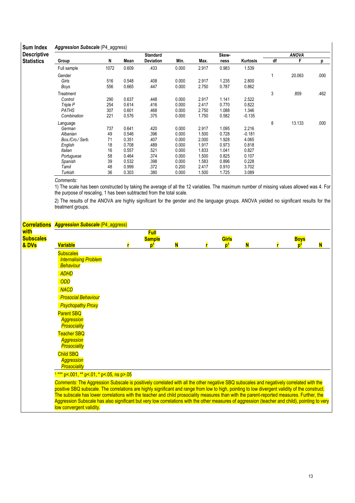#### Sum Index Aggression Subscale (P4\_aggress)

| OUIII IIIUUA       | Aggroooion cabocaro (1 1_aggrooo) |      |       |                 |       |       |       |          |    |              |      |
|--------------------|-----------------------------------|------|-------|-----------------|-------|-------|-------|----------|----|--------------|------|
| <b>Descriptive</b> |                                   |      |       | <b>Standard</b> |       |       | Skew- |          |    | <b>ANOVA</b> |      |
| <b>Statistics</b>  | Group                             | N    | Mean  | Deviation       | Min.  | Max.  | ness  | Kurtosis | df | F            | р    |
|                    | Full sample                       | 1072 | 0.609 | .433            | 0.000 | 2.917 | 0.983 | 1.539    |    |              |      |
|                    | Gender                            |      |       |                 |       |       |       |          |    | 20.063       | .000 |
|                    | Girls                             | 516  | 0.548 | .408            | 0.000 | 2.917 | 1.235 | 2.800    |    |              |      |
|                    | Boys                              | 556  | 0.665 | .447            | 0.000 | 2.750 | 0.787 | 0.862    |    |              |      |
|                    | Treatment                         |      |       |                 |       |       |       |          | 3  | .859         | .462 |
|                    | Control                           | 290  | 0.637 | .448            | 0.000 | 2.917 | 1.141 | 2.522    |    |              |      |
|                    | Triple P                          | 254  | 0.614 | .416            | 0.000 | 2.417 | 0.770 | 0.822    |    |              |      |
|                    | PATHS                             | 307  | 0.601 | .468            | 0.000 | 2.750 | 1.088 | 1.346    |    |              |      |
|                    | Combination                       | 221  | 0.576 | .375            | 0.000 | 1.750 | 0.582 | $-0.135$ |    |              |      |
|                    | Language                          |      |       |                 |       |       |       |          | 8  | 13.133       | .000 |
|                    | German                            | 737  | 0.641 | .420            | 0.000 | 2.917 | 1.095 | 2.216    |    |              |      |
|                    | Albanian                          | 49   | 0.546 | .396            | 0.000 | 1.500 | 0.728 | $-0.181$ |    |              |      |
|                    | Bos./Cro./ Serb.                  | 71   | 0.351 | .407            | 0.000 | 2.000 | 1.928 | 4.065    |    |              |      |
|                    | English                           | 18   | 0.708 | .489            | 0.000 | 1.917 | 0.973 | 0.818    |    |              |      |
|                    | Italian                           | 16   | 0.557 | .521            | 0.000 | 1.833 | 1.041 | 0.827    |    |              |      |
|                    | Portuguese                        | 58   | 0.464 | .374            | 0.000 | 1.500 | 0.825 | 0.107    |    |              |      |
|                    | Spanish                           | 39   | 0.532 | .398            | 0.000 | 1.583 | 0.896 | 0.228    |    |              |      |
|                    | Tamil                             | 48   | 0.999 | .372            | 0.200 | 2.417 | 0.910 | 3.702    |    |              |      |
|                    | Turkish                           | 36   | 0.303 | .380            | 0.000 | 1.500 | 1.725 | 3.089    |    |              |      |

Comments:

1) The scale has been constructed by taking the average of all the 12 variables. The maximum number of missing values allowed was 4. For the purpose of rescaling, 1 has been subtracted from the total scale.

|                                   | <b>Correlations Aggression Subscale (P4_aggress)</b>                                                                                                                                                                                                                                                                                                                                                                                                                                                                                                                                                                  |                                                |   |                         |   |                               |   |
|-----------------------------------|-----------------------------------------------------------------------------------------------------------------------------------------------------------------------------------------------------------------------------------------------------------------------------------------------------------------------------------------------------------------------------------------------------------------------------------------------------------------------------------------------------------------------------------------------------------------------------------------------------------------------|------------------------------------------------|---|-------------------------|---|-------------------------------|---|
| with<br><b>Subscales</b><br>& DVs | <b>Variable</b>                                                                                                                                                                                                                                                                                                                                                                                                                                                                                                                                                                                                       | <b>Full</b><br><b>Sample</b><br>$\mathbf{p}^1$ | N | Girls<br>n <sup>1</sup> | N | <b>Boys</b><br>n <sup>1</sup> | N |
|                                   | <b>Subscales</b><br><b>Internalising Problem</b><br>Behaviour                                                                                                                                                                                                                                                                                                                                                                                                                                                                                                                                                         |                                                |   |                         |   |                               |   |
|                                   | <b>ADHD</b><br>ODD                                                                                                                                                                                                                                                                                                                                                                                                                                                                                                                                                                                                    |                                                |   |                         |   |                               |   |
|                                   | <b>NACD</b>                                                                                                                                                                                                                                                                                                                                                                                                                                                                                                                                                                                                           |                                                |   |                         |   |                               |   |
|                                   | <b>Prosocial Behaviour</b><br><b>Psychopathy Proxy</b>                                                                                                                                                                                                                                                                                                                                                                                                                                                                                                                                                                |                                                |   |                         |   |                               |   |
|                                   | <b>Parent SBO</b><br><b>Aggression</b><br><b>Prosociality</b>                                                                                                                                                                                                                                                                                                                                                                                                                                                                                                                                                         |                                                |   |                         |   |                               |   |
|                                   | <b>Teacher SBO</b><br><b>Aggression</b><br><b>Prosociality</b>                                                                                                                                                                                                                                                                                                                                                                                                                                                                                                                                                        |                                                |   |                         |   |                               |   |
|                                   | <b>Child SBQ</b><br><b>Aggression</b><br>Prosociality                                                                                                                                                                                                                                                                                                                                                                                                                                                                                                                                                                 |                                                |   |                         |   |                               |   |
|                                   | $1***$ p<.001, ** p<.01, * p<.05, ns p>.05                                                                                                                                                                                                                                                                                                                                                                                                                                                                                                                                                                            |                                                |   |                         |   |                               |   |
|                                   | Comments: The Aggression Subscale is positively correlated with all the other negative SBQ subscales and negatively correlated with the<br>positive SBQ subscale. The correlations are highly significant and range from low to high, pointing to low divergent validity of the construct.<br>The subscale has lower correlations with the teacher and child prosociality measures than with the parent-reported measures. Further, the<br>Aggression Subscale has also significant but very low correlations with the other measures of aggression (teacher and child), pointing to very<br>low convergent validity. |                                                |   |                         |   |                               |   |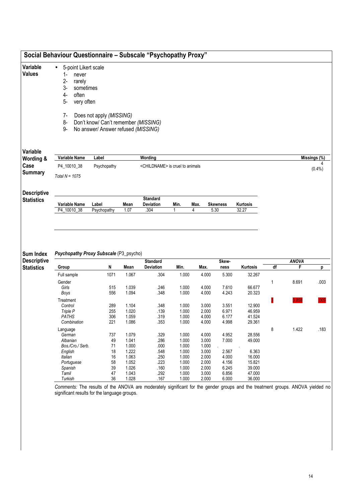| Variable<br><b>Values</b>               | 5-point Likert scale<br>$\bullet$<br>$1 -$<br>never |             |                |                                             |                |                |                         |                  |    |                   |              |
|-----------------------------------------|-----------------------------------------------------|-------------|----------------|---------------------------------------------|----------------|----------------|-------------------------|------------------|----|-------------------|--------------|
|                                         | $2-$<br>rarely                                      |             |                |                                             |                |                |                         |                  |    |                   |              |
|                                         | $3-$<br>sometimes                                   |             |                |                                             |                |                |                         |                  |    |                   |              |
|                                         | $4-$<br>often                                       |             |                |                                             |                |                |                         |                  |    |                   |              |
|                                         | 5-<br>very often                                    |             |                |                                             |                |                |                         |                  |    |                   |              |
|                                         | $7-$<br>Does not apply (MISSING)                    |             |                |                                             |                |                |                         |                  |    |                   |              |
|                                         | 8-<br>Don't know/ Can't remember (MISSING)          |             |                |                                             |                |                |                         |                  |    |                   |              |
|                                         | 9-<br>No answer/ Answer refused (MISSING)           |             |                |                                             |                |                |                         |                  |    |                   |              |
| Variable                                |                                                     |             |                |                                             |                |                |                         |                  |    |                   |              |
| Wording &                               | Variable Name                                       | Label       |                | Wording                                     |                |                |                         |                  |    |                   | Missings (%) |
| Case                                    | P4_10010_38                                         | Psychopathy |                | <childname> is cruel to animals</childname> |                |                |                         |                  |    |                   | $(0.4\%)$    |
| <b>Summary</b>                          | Total $N = 1075$                                    |             |                |                                             |                |                |                         |                  |    |                   |              |
| <b>Descriptive</b><br><b>Statistics</b> | <b>Standard</b>                                     |             |                |                                             |                |                |                         |                  |    |                   |              |
|                                         |                                                     |             |                |                                             |                |                |                         |                  |    |                   |              |
|                                         | Variable Name                                       | Label       | Mean           | Deviation                                   | Min.           | Max.           |                         | Kurtosis         |    |                   |              |
|                                         | P4_10010_38                                         | Psychopathy | 1.07           | .304                                        | 1              | 4              | <b>Skewness</b><br>5.30 | 32.27            |    |                   |              |
| <b>Sum Index</b>                        | Psychopathy Proxy Subscale (P3_psycho)              |             |                | <b>Standard</b>                             |                |                | Skew-                   |                  |    |                   |              |
| <b>Descriptive</b><br><b>Statistics</b> | Group                                               | N           | Mean           | <b>Deviation</b>                            | Min.           | Max.           | ness                    | Kurtosis         | df | <b>ANOVA</b><br>F | p            |
|                                         | Full sample                                         | 1071        | 1.067          | .304                                        | 1.000          | 4.000          | 5.300                   | 32.267           |    |                   |              |
|                                         | Gender                                              |             |                |                                             |                |                |                         |                  | 1  | 8.691             | .003         |
|                                         | Girls                                               | 515         | 1.039          | .246                                        | 1.000          | 4.000          | 7.610                   | 66.677           |    |                   |              |
|                                         | Boys                                                | 556         | 1.094          | .348                                        | 1.000          | 4.000          | 4.243                   | 20.323           |    |                   |              |
|                                         | Treatment                                           |             |                |                                             |                |                |                         |                  | β  | .858              |              |
|                                         | Control                                             | 289         | 1.104          | .348                                        | 1.000          | 3.000          | 3.551                   | 12.900           |    |                   |              |
|                                         | Triple P                                            | 255         | 1.020          | .139                                        | 1.000          | 2.000          | 6.971                   | 46.959           |    |                   |              |
|                                         | <b>PATHS</b><br>Combination                         | 306<br>221  | 1.059<br>1.086 | .319<br>.353                                | 1.000<br>1.000 | 4.000<br>4.000 | 6.177<br>4.998          | 41.524<br>29.361 |    |                   |              |
|                                         | Language                                            |             |                |                                             |                |                |                         |                  | 8  | 1.422             |              |
|                                         | German                                              | 737         | 1.079          | .329                                        | 1.000          | 4.000          | 4.952                   | 28.556           |    |                   |              |
|                                         | Albanian                                            | 49          | 1.041          | .286                                        | 1.000          | 3.000          | 7.000                   | 49.000           |    |                   |              |
|                                         | Bos./Cro./ Serb.                                    | 71          | 1.000          | .000                                        | 1.000          | 1.000          |                         |                  |    |                   |              |
|                                         | English                                             | 18          | 1.222          | .548                                        | 1.000          | 3.000          | 2.567                   | 6.363            |    |                   |              |
|                                         | Italian                                             | 16          | 1.063          | .250                                        | 1.000          | 2.000          | 4.000                   | 16.000           |    |                   |              |
|                                         | Portuguese                                          | 58          | 1.052          | .223                                        | 1.000          | 2.000          | 4.156                   | 15.821           |    |                   |              |
|                                         | Spanish<br>Tamil                                    | 39<br>47    | 1.026<br>1.043 | .160<br>.292                                | 1.000<br>1.000 | 2.000<br>3.000 | 6.245<br>6.856          | 39.000<br>47.000 |    |                   | .183         |